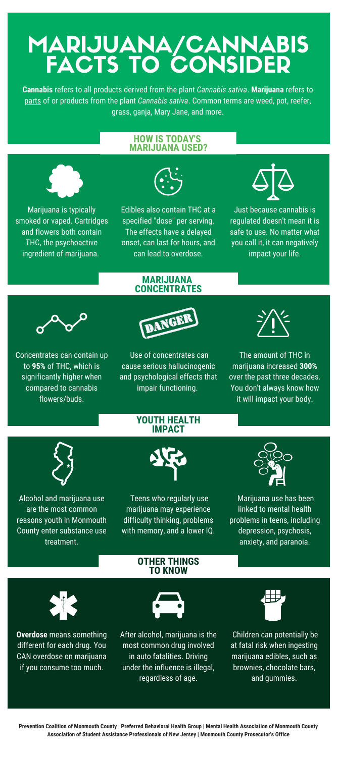# MARIJUANA/CANNABIS FACTS TO CONSIDER

**Cannabis** refers to all products derived from the plant *Cannabis sativa*. **Marijuana** refers to parts of or products from the plant *Cannabis sativa*. Common terms are weed, pot, reefer, grass, ganja, Mary Jane, and more.

#### **HOW IS TODAY'S MARIJUANA USED?**



Marijuana is typically smoked or vaped. Cartridges and flowers both contain THC, the psychoactive ingredient of marijuana.



Edibles also contain THC at a specified "dose" per serving. The effects have a delayed onset, can last for hours, and can lead to overdose.

> **MARIJUANA CONCENTRATES**



Just because cannabis is regulated doesn't mean it is safe to use. No matter what you call it, it can negatively impact your life.



Concentrates can contain up to **95%** of THC, which is significantly higher when compared to cannabis flowers/buds.



Use of concentrates can cause serious hallucinogenic and psychological effects that impair functioning.



The amount of THC in marijuana increased **300%** over the past three decades. You don't always know how it will impact your body.



Alcohol and marijuana use are the most common reasons youth in Monmouth County enter substance use treatment.



**YOUTH HEALTH IMPACT**

Teens who regularly use marijuana may experience difficulty thinking, problems with memory, and a lower IQ.



Marijuana use has been linked to mental health problems in teens, including depression, psychosis, anxiety, and paranoia.



**Overdose** means something different for each drug. You CAN overdose on marijuana if you consume too much.



**OTHER THINGS TO KNOW**

After alcohol, marijuana is the most common drug involved in auto fatalities. Driving under the influence is illegal, regardless of age.



Children can potentially be at fatal risk when ingesting marijuana edibles, such as brownies, chocolate bars, and gummies.